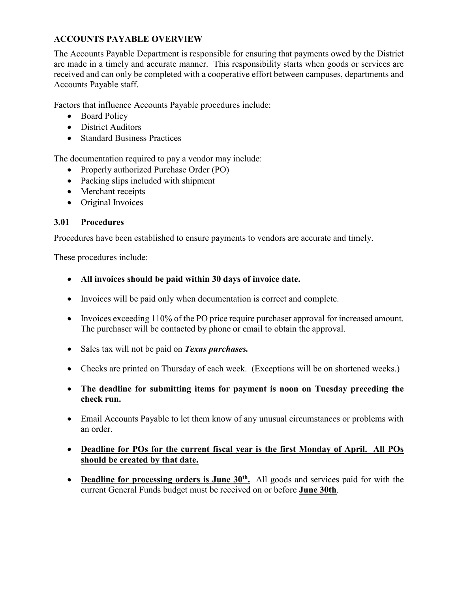### **ACCOUNTS PAYABLE OVERVIEW**

The Accounts Payable Department is responsible for ensuring that payments owed by the District are made in a timely and accurate manner. This responsibility starts when goods or services are received and can only be completed with a cooperative effort between campuses, departments and Accounts Payable staff.

Factors that influence Accounts Payable procedures include:

- Board Policy
- District Auditors
- Standard Business Practices

The documentation required to pay a vendor may include:

- Properly authorized Purchase Order (PO)
- Packing slips included with shipment
- Merchant receipts
- Original Invoices

### **3.01 Procedures**

Procedures have been established to ensure payments to vendors are accurate and timely.

These procedures include:

- **All invoices should be paid within 30 days of invoice date.**
- Invoices will be paid only when documentation is correct and complete.
- Invoices exceeding 110% of the PO price require purchaser approval for increased amount. The purchaser will be contacted by phone or email to obtain the approval.
- Sales tax will not be paid on *Texas purchases.*
- Checks are printed on Thursday of each week. (Exceptions will be on shortened weeks.)
- **The deadline for submitting items for payment is noon on Tuesday preceding the check run.**
- Email Accounts Payable to let them know of any unusual circumstances or problems with an order.
- **Deadline for POs for the current fiscal year is the first Monday of April. All POs should be created by that date.**
- **Deadline for processing orders is June 30<sup>th</sup>.** All goods and services paid for with the current General Funds budget must be received on or before **June 30th**.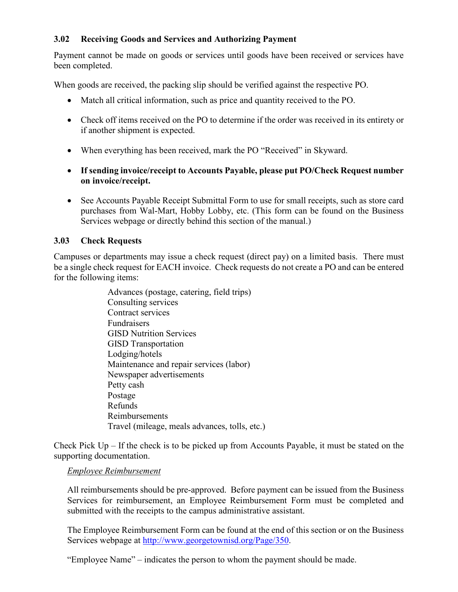### **3.02 Receiving Goods and Services and Authorizing Payment**

Payment cannot be made on goods or services until goods have been received or services have been completed.

When goods are received, the packing slip should be verified against the respective PO.

- Match all critical information, such as price and quantity received to the PO.
- Check off items received on the PO to determine if the order was received in its entirety or if another shipment is expected.
- When everything has been received, mark the PO "Received" in Skyward.
- **If sending invoice/receipt to Accounts Payable, please put PO/Check Request number on invoice/receipt.**
- See Accounts Payable Receipt Submittal Form to use for small receipts, such as store card purchases from Wal-Mart, Hobby Lobby, etc. (This form can be found on the Business Services webpage or directly behind this section of the manual.)

# **3.03 Check Requests**

Campuses or departments may issue a check request (direct pay) on a limited basis. There must be a single check request for EACH invoice. Check requests do not create a PO and can be entered for the following items:

> Advances (postage, catering, field trips) Consulting services Contract services Fundraisers GISD Nutrition Services GISD Transportation Lodging/hotels Maintenance and repair services (labor) Newspaper advertisements Petty cash Postage Refunds Reimbursements Travel (mileage, meals advances, tolls, etc.)

Check Pick  $Up - If$  the check is to be picked up from Accounts Payable, it must be stated on the supporting documentation.

## *Employee Reimbursement*

All reimbursements should be pre-approved. Before payment can be issued from the Business Services for reimbursement, an Employee Reimbursement Form must be completed and submitted with the receipts to the campus administrative assistant.

The Employee Reimbursement Form can be found at the end of this section or on the Business Services webpage at [http://www.georgetownisd.org/Page/350.](http://www.georgetownisd.org/Page/350)

"Employee Name" – indicates the person to whom the payment should be made.